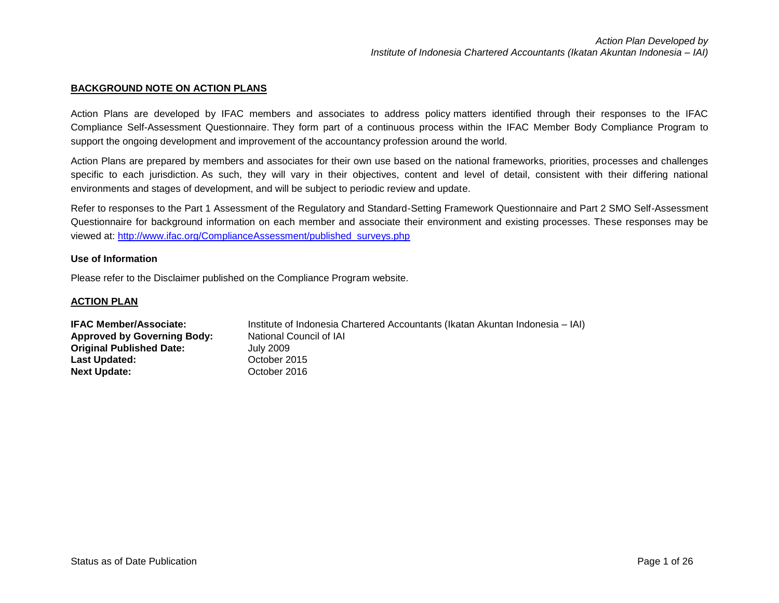### **BACKGROUND NOTE ON ACTION PLANS**

Action Plans are developed by IFAC members and associates to address policy matters identified through their responses to the IFAC Compliance Self-Assessment Questionnaire. They form part of a continuous process within the IFAC Member Body Compliance Program to support the ongoing development and improvement of the accountancy profession around the world.

Action Plans are prepared by members and associates for their own use based on the national frameworks, priorities, processes and challenges specific to each jurisdiction. As such, they will vary in their objectives, content and level of detail, consistent with their differing national environments and stages of development, and will be subject to periodic review and update.

Refer to responses to the Part 1 Assessment of the Regulatory and Standard-Setting Framework Questionnaire and Part 2 SMO Self-Assessment Questionnaire for background information on each member and associate their environment and existing processes. These responses may be viewed at: [http://www.ifac.org/ComplianceAssessment/published\\_surveys.php](http://www.ifac.org/ComplianceAssessment/published_surveys.php)

#### **Use of Information**

Please refer to the Disclaimer published on the Compliance Program website.

#### **ACTION PLAN**

| <b>IFAC Member/Associate:</b>      | Institute of Indonesia Chartered Accountants (Ikatan Akuntan Indonesia – IAI) |
|------------------------------------|-------------------------------------------------------------------------------|
| <b>Approved by Governing Body:</b> | National Council of IAI                                                       |
| <b>Original Published Date:</b>    | July 2009                                                                     |
| Last Updated:                      | October 2015                                                                  |
| <b>Next Update:</b>                | October 2016                                                                  |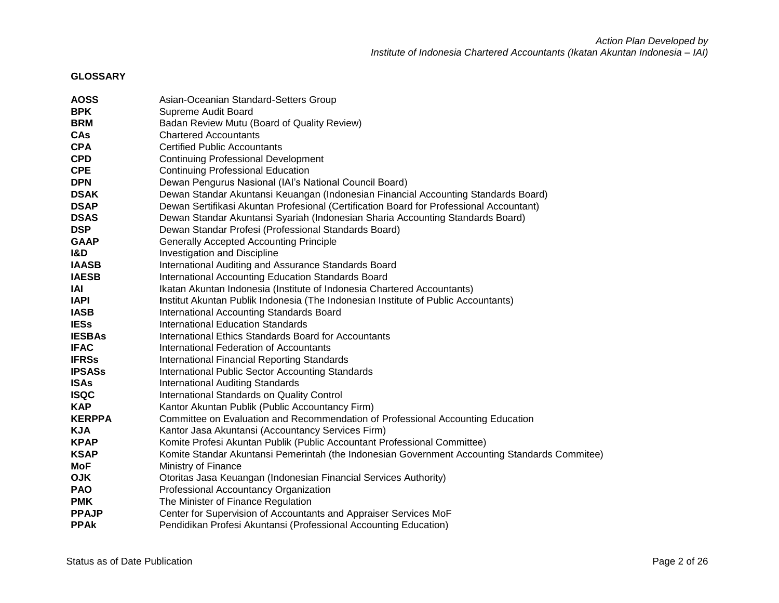## **GLOSSARY**

| <b>AOSS</b>    | Asian-Oceanian Standard-Setters Group                                                         |
|----------------|-----------------------------------------------------------------------------------------------|
| <b>BPK</b>     | Supreme Audit Board                                                                           |
| <b>BRM</b>     | Badan Review Mutu (Board of Quality Review)                                                   |
| <b>CAs</b>     | <b>Chartered Accountants</b>                                                                  |
| <b>CPA</b>     | <b>Certified Public Accountants</b>                                                           |
| <b>CPD</b>     | <b>Continuing Professional Development</b>                                                    |
| <b>CPE</b>     | <b>Continuing Professional Education</b>                                                      |
| <b>DPN</b>     | Dewan Pengurus Nasional (IAI's National Council Board)                                        |
| <b>DSAK</b>    | Dewan Standar Akuntansi Keuangan (Indonesian Financial Accounting Standards Board)            |
| <b>DSAP</b>    | Dewan Sertifikasi Akuntan Profesional (Certification Board for Professional Accountant)       |
| <b>DSAS</b>    | Dewan Standar Akuntansi Syariah (Indonesian Sharia Accounting Standards Board)                |
| <b>DSP</b>     | Dewan Standar Profesi (Professional Standards Board)                                          |
| <b>GAAP</b>    | <b>Generally Accepted Accounting Principle</b>                                                |
| <b>I&amp;D</b> | Investigation and Discipline                                                                  |
| <b>IAASB</b>   | International Auditing and Assurance Standards Board                                          |
| <b>IAESB</b>   | International Accounting Education Standards Board                                            |
| IAI            | Ikatan Akuntan Indonesia (Institute of Indonesia Chartered Accountants)                       |
| <b>IAPI</b>    | Institut Akuntan Publik Indonesia (The Indonesian Institute of Public Accountants)            |
| <b>IASB</b>    | International Accounting Standards Board                                                      |
| <b>IESs</b>    | <b>International Education Standards</b>                                                      |
| <b>IESBAs</b>  | International Ethics Standards Board for Accountants                                          |
| <b>IFAC</b>    | International Federation of Accountants                                                       |
| <b>IFRSs</b>   | International Financial Reporting Standards                                                   |
| <b>IPSASs</b>  | <b>International Public Sector Accounting Standards</b>                                       |
| <b>ISAs</b>    | <b>International Auditing Standards</b>                                                       |
| <b>ISQC</b>    | International Standards on Quality Control                                                    |
| <b>KAP</b>     | Kantor Akuntan Publik (Public Accountancy Firm)                                               |
| <b>KERPPA</b>  | Committee on Evaluation and Recommendation of Professional Accounting Education               |
| <b>KJA</b>     | Kantor Jasa Akuntansi (Accountancy Services Firm)                                             |
| <b>KPAP</b>    | Komite Profesi Akuntan Publik (Public Accountant Professional Committee)                      |
| <b>KSAP</b>    | Komite Standar Akuntansi Pemerintah (the Indonesian Government Accounting Standards Commitee) |
| MoF            | Ministry of Finance                                                                           |
| <b>OJK</b>     | Otoritas Jasa Keuangan (Indonesian Financial Services Authority)                              |
| <b>PAO</b>     | Professional Accountancy Organization                                                         |
| <b>PMK</b>     | The Minister of Finance Regulation                                                            |
| <b>PPAJP</b>   | Center for Supervision of Accountants and Appraiser Services MoF                              |
| <b>PPAK</b>    | Pendidikan Profesi Akuntansi (Professional Accounting Education)                              |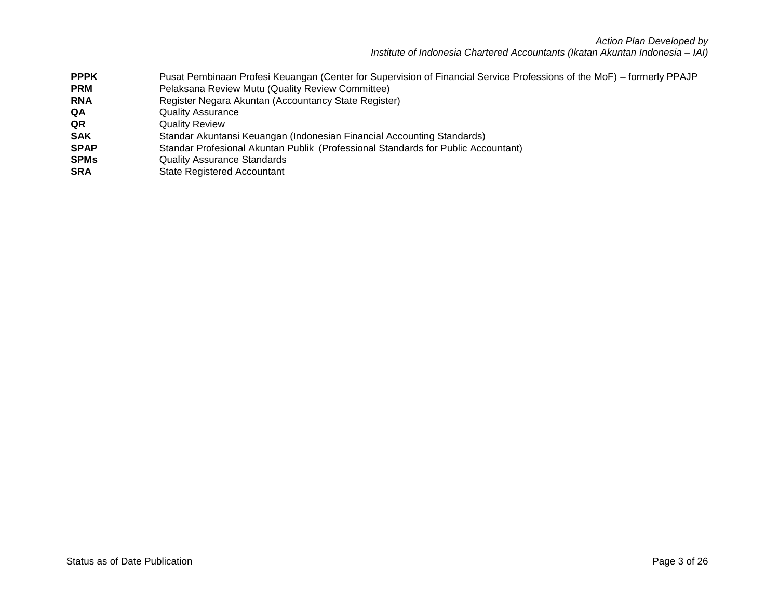*Action Plan Developed by Institute of Indonesia Chartered Accountants (Ikatan Akuntan Indonesia – IAI)*

- **PPPK** Pusat Pembinaan Profesi Keuangan (Center for Supervision of Financial Service Professions of the MoF) formerly PPAJP<br>**PRM** PELAKSANA Review Mutu (Quality Review Committee)
- Pelaksana Review Mutu (Quality Review Committee)
- **RNA** Register Negara Akuntan (Accountancy State Register)
- **QA** Quality Assurance
- **QR** Quality Review
- **SAK** Standar Akuntansi Keuangan (Indonesian Financial Accounting Standards)
- **SPAP** Standar Profesional Akuntan Publik (Professional Standards for Public Accountant)
- **SPMs** Quality Assurance Standards
- **SRA** State Registered Accountant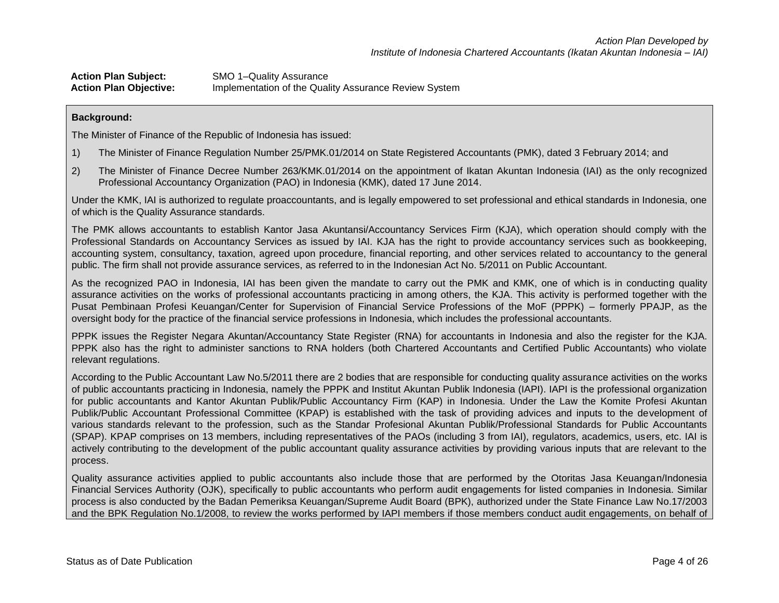**Action Plan Subject:** SMO 1–Quality Assurance **Action Plan Objective:** Implementation of the Quality Assurance Review System

### **Background:**

The Minister of Finance of the Republic of Indonesia has issued:

- 1) The Minister of Finance Regulation Number 25/PMK.01/2014 on State Registered Accountants (PMK), dated 3 February 2014; and
- 2) The Minister of Finance Decree Number 263/KMK.01/2014 on the appointment of Ikatan Akuntan Indonesia (IAI) as the only recognized Professional Accountancy Organization (PAO) in Indonesia (KMK), dated 17 June 2014.

Under the KMK, IAI is authorized to regulate proaccountants, and is legally empowered to set professional and ethical standards in Indonesia, one of which is the Quality Assurance standards.

The PMK allows accountants to establish Kantor Jasa Akuntansi/Accountancy Services Firm (KJA), which operation should comply with the Professional Standards on Accountancy Services as issued by IAI. KJA has the right to provide accountancy services such as bookkeeping, accounting system, consultancy, taxation, agreed upon procedure, financial reporting, and other services related to accountancy to the general public. The firm shall not provide assurance services, as referred to in the Indonesian Act No. 5/2011 on Public Accountant.

As the recognized PAO in Indonesia, IAI has been given the mandate to carry out the PMK and KMK, one of which is in conducting quality assurance activities on the works of professional accountants practicing in among others, the KJA. This activity is performed together with the Pusat Pembinaan Profesi Keuangan/Center for Supervision of Financial Service Professions of the MoF (PPPK) – formerly PPAJP, as the oversight body for the practice of the financial service professions in Indonesia, which includes the professional accountants.

PPPK issues the Register Negara Akuntan/Accountancy State Register (RNA) for accountants in Indonesia and also the register for the KJA. PPPK also has the right to administer sanctions to RNA holders (both Chartered Accountants and Certified Public Accountants) who violate relevant regulations.

According to the Public Accountant Law No.5/2011 there are 2 bodies that are responsible for conducting quality assurance activities on the works of public accountants practicing in Indonesia, namely the PPPK and Institut Akuntan Publik Indonesia (IAPI). IAPI is the professional organization for public accountants and Kantor Akuntan Publik/Public Accountancy Firm (KAP) in Indonesia. Under the Law the Komite Profesi Akuntan Publik/Public Accountant Professional Committee (KPAP) is established with the task of providing advices and inputs to the development of various standards relevant to the profession, such as the Standar Profesional Akuntan Publik/Professional Standards for Public Accountants (SPAP). KPAP comprises on 13 members, including representatives of the PAOs (including 3 from IAI), regulators, academics, users, etc. IAI is actively contributing to the development of the public accountant quality assurance activities by providing various inputs that are relevant to the process.

Quality assurance activities applied to public accountants also include those that are performed by the Otoritas Jasa Keuangan/Indonesia Financial Services Authority (OJK), specifically to public accountants who perform audit engagements for listed companies in Indonesia. Similar process is also conducted by the Badan Pemeriksa Keuangan/Supreme Audit Board (BPK), authorized under the State Finance Law No.17/2003 and the BPK Regulation No.1/2008, to review the works performed by IAPI members if those members conduct audit engagements, on behalf of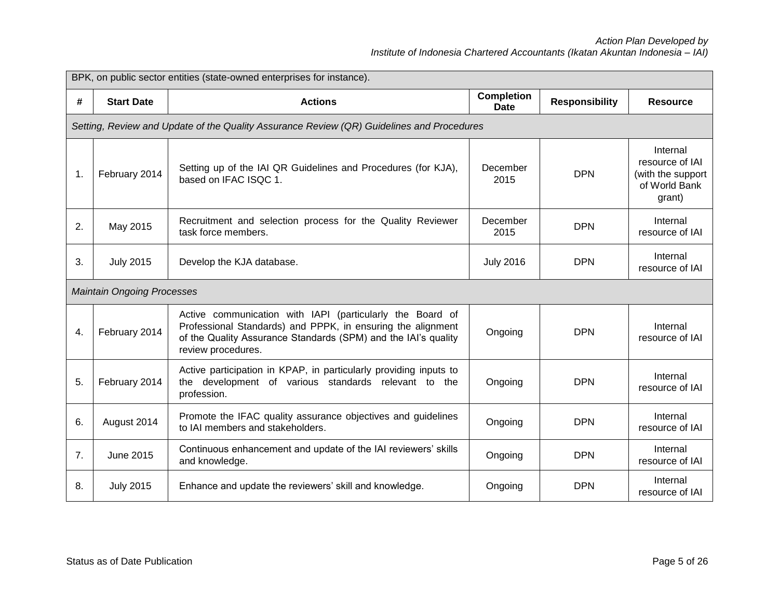|    | BPK, on public sector entities (state-owned enterprises for instance).                    |                                                                                                                                                                                                                  |                                  |                       |                                                                             |  |
|----|-------------------------------------------------------------------------------------------|------------------------------------------------------------------------------------------------------------------------------------------------------------------------------------------------------------------|----------------------------------|-----------------------|-----------------------------------------------------------------------------|--|
| #  | <b>Start Date</b>                                                                         | <b>Actions</b>                                                                                                                                                                                                   | <b>Completion</b><br><b>Date</b> | <b>Responsibility</b> | <b>Resource</b>                                                             |  |
|    | Setting, Review and Update of the Quality Assurance Review (QR) Guidelines and Procedures |                                                                                                                                                                                                                  |                                  |                       |                                                                             |  |
| 1. | February 2014                                                                             | Setting up of the IAI QR Guidelines and Procedures (for KJA),<br>based on IFAC ISQC 1.                                                                                                                           | December<br>2015                 | <b>DPN</b>            | Internal<br>resource of IAI<br>(with the support<br>of World Bank<br>grant) |  |
| 2. | May 2015                                                                                  | Recruitment and selection process for the Quality Reviewer<br>task force members.                                                                                                                                | December<br>2015                 | <b>DPN</b>            | Internal<br>resource of IAI                                                 |  |
| 3. | <b>July 2015</b>                                                                          | Develop the KJA database.                                                                                                                                                                                        | <b>July 2016</b>                 | <b>DPN</b>            | Internal<br>resource of IAI                                                 |  |
|    | <b>Maintain Ongoing Processes</b>                                                         |                                                                                                                                                                                                                  |                                  |                       |                                                                             |  |
| 4. | February 2014                                                                             | Active communication with IAPI (particularly the Board of<br>Professional Standards) and PPPK, in ensuring the alignment<br>of the Quality Assurance Standards (SPM) and the IAI's quality<br>review procedures. | Ongoing                          | <b>DPN</b>            | Internal<br>resource of IAI                                                 |  |
| 5. | February 2014                                                                             | Active participation in KPAP, in particularly providing inputs to<br>the development of various standards relevant to the<br>profession.                                                                         | Ongoing                          | <b>DPN</b>            | Internal<br>resource of IAI                                                 |  |
| 6. | August 2014                                                                               | Promote the IFAC quality assurance objectives and guidelines<br>to IAI members and stakeholders.                                                                                                                 | Ongoing                          | <b>DPN</b>            | Internal<br>resource of IAI                                                 |  |
| 7. | <b>June 2015</b>                                                                          | Continuous enhancement and update of the IAI reviewers' skills<br>and knowledge.                                                                                                                                 | Ongoing                          | <b>DPN</b>            | Internal<br>resource of IAI                                                 |  |
| 8. | <b>July 2015</b>                                                                          | Enhance and update the reviewers' skill and knowledge.                                                                                                                                                           | Ongoing                          | <b>DPN</b>            | Internal<br>resource of IAI                                                 |  |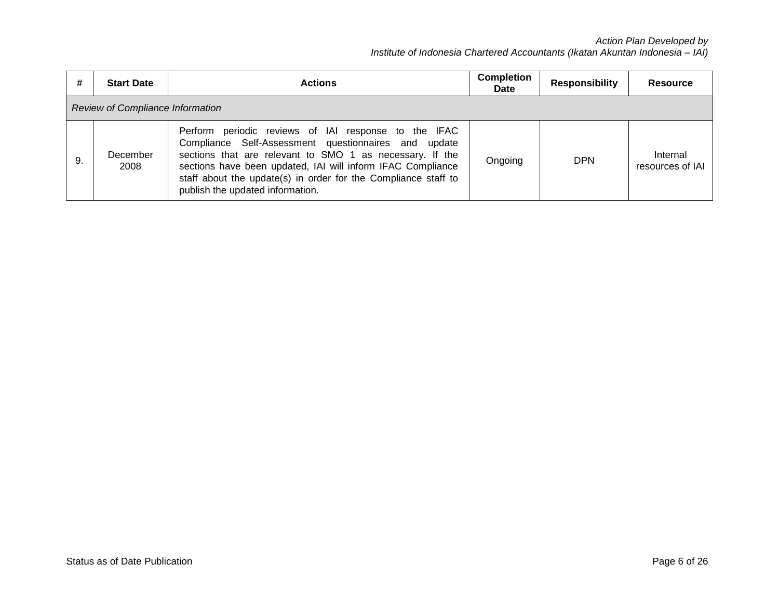| #  | <b>Start Date</b>                | <b>Actions</b>                                                                                                                                                                                                                                                                                                                                | <b>Completion</b><br>Date | <b>Responsibility</b> | <b>Resource</b>              |
|----|----------------------------------|-----------------------------------------------------------------------------------------------------------------------------------------------------------------------------------------------------------------------------------------------------------------------------------------------------------------------------------------------|---------------------------|-----------------------|------------------------------|
|    | Review of Compliance Information |                                                                                                                                                                                                                                                                                                                                               |                           |                       |                              |
| 9. | December<br>2008                 | Perform periodic reviews of IAI response to the IFAC<br>Compliance Self-Assessment questionnaires and update<br>sections that are relevant to SMO 1 as necessary. If the<br>sections have been updated, IAI will inform IFAC Compliance<br>staff about the update(s) in order for the Compliance staff to<br>publish the updated information. | Ongoing                   | <b>DPN</b>            | Internal<br>resources of IAI |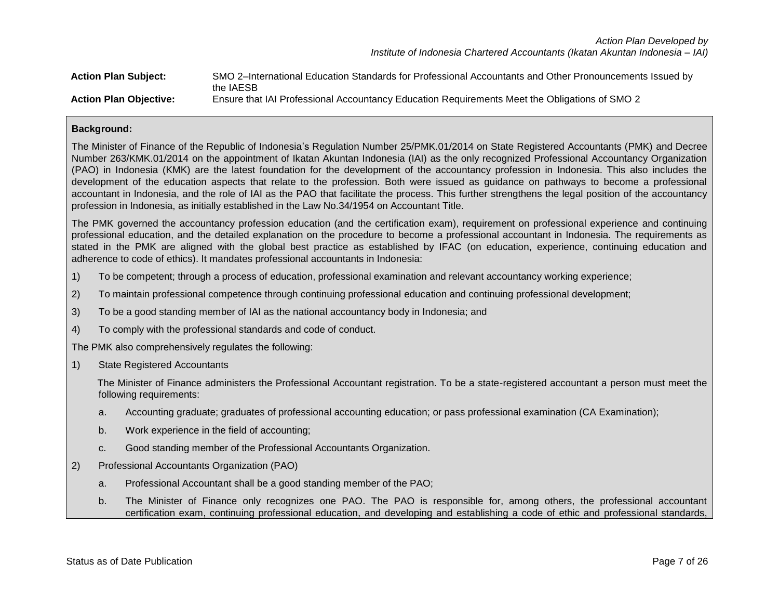*Action Plan Developed by Institute of Indonesia Chartered Accountants (Ikatan Akuntan Indonesia – IAI)*

| <b>Action Plan Subject:</b>   | SMO 2-International Education Standards for Professional Accountants and Other Pronouncements Issued by<br>the IAESB |
|-------------------------------|----------------------------------------------------------------------------------------------------------------------|
| <b>Action Plan Objective:</b> | Ensure that IAI Professional Accountancy Education Requirements Meet the Obligations of SMO 2                        |

## **Background:**

The Minister of Finance of the Republic of Indonesia's Regulation Number 25/PMK.01/2014 on State Registered Accountants (PMK) and Decree Number 263/KMK.01/2014 on the appointment of Ikatan Akuntan Indonesia (IAI) as the only recognized Professional Accountancy Organization (PAO) in Indonesia (KMK) are the latest foundation for the development of the accountancy profession in Indonesia. This also includes the development of the education aspects that relate to the profession. Both were issued as guidance on pathways to become a professional accountant in Indonesia, and the role of IAI as the PAO that facilitate the process. This further strengthens the legal position of the accountancy profession in Indonesia, as initially established in the Law No.34/1954 on Accountant Title.

The PMK governed the accountancy profession education (and the certification exam), requirement on professional experience and continuing professional education, and the detailed explanation on the procedure to become a professional accountant in Indonesia. The requirements as stated in the PMK are aligned with the global best practice as established by IFAC (on education, experience, continuing education and adherence to code of ethics). It mandates professional accountants in Indonesia:

- 1) To be competent; through a process of education, professional examination and relevant accountancy working experience;
- 2) To maintain professional competence through continuing professional education and continuing professional development;
- 3) To be a good standing member of IAI as the national accountancy body in Indonesia; and
- 4) To comply with the professional standards and code of conduct.

The PMK also comprehensively regulates the following:

1) State Registered Accountants

The Minister of Finance administers the Professional Accountant registration. To be a state-registered accountant a person must meet the following requirements:

- a. Accounting graduate; graduates of professional accounting education; or pass professional examination (CA Examination);
- b. Work experience in the field of accounting;
- c. Good standing member of the Professional Accountants Organization.
- 2) Professional Accountants Organization (PAO)
	- a. Professional Accountant shall be a good standing member of the PAO;
	- b. The Minister of Finance only recognizes one PAO. The PAO is responsible for, among others, the professional accountant certification exam, continuing professional education, and developing and establishing a code of ethic and professional standards,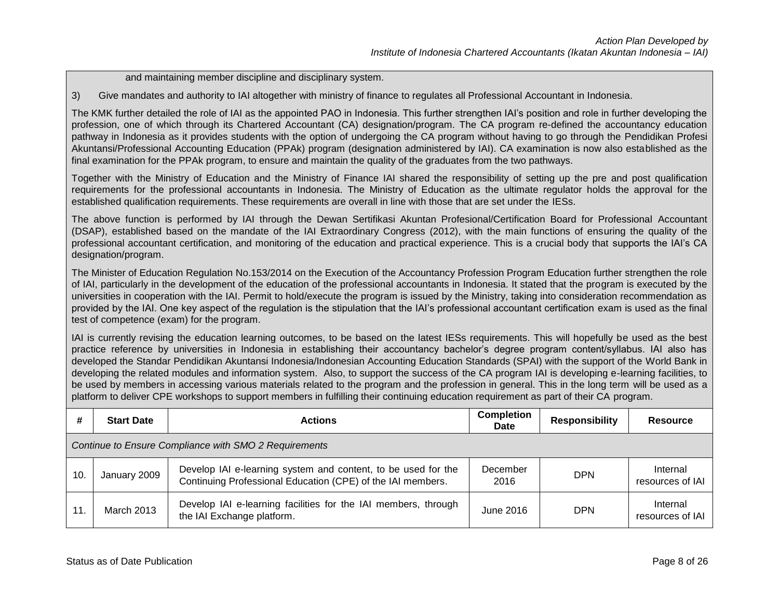and maintaining member discipline and disciplinary system.

3) Give mandates and authority to IAI altogether with ministry of finance to regulates all Professional Accountant in Indonesia.

The KMK further detailed the role of IAI as the appointed PAO in Indonesia. This further strengthen IAI's position and role in further developing the profession, one of which through its Chartered Accountant (CA) designation/program. The CA program re-defined the accountancy education pathway in Indonesia as it provides students with the option of undergoing the CA program without having to go through the Pendidikan Profesi Akuntansi/Professional Accounting Education (PPAk) program (designation administered by IAI). CA examination is now also established as the final examination for the PPAk program, to ensure and maintain the quality of the graduates from the two pathways.

Together with the Ministry of Education and the Ministry of Finance IAI shared the responsibility of setting up the pre and post qualification requirements for the professional accountants in Indonesia. The Ministry of Education as the ultimate regulator holds the approval for the established qualification requirements. These requirements are overall in line with those that are set under the IESs.

The above function is performed by IAI through the Dewan Sertifikasi Akuntan Profesional/Certification Board for Professional Accountant (DSAP), established based on the mandate of the IAI Extraordinary Congress (2012), with the main functions of ensuring the quality of the professional accountant certification, and monitoring of the education and practical experience. This is a crucial body that supports the IAI's CA designation/program.

The Minister of Education Regulation No.153/2014 on the Execution of the Accountancy Profession Program Education further strengthen the role of IAI, particularly in the development of the education of the professional accountants in Indonesia. It stated that the program is executed by the universities in cooperation with the IAI. Permit to hold/execute the program is issued by the Ministry, taking into consideration recommendation as provided by the IAI. One key aspect of the regulation is the stipulation that the IAI's professional accountant certification exam is used as the final test of competence (exam) for the program.

IAI is currently revising the education learning outcomes, to be based on the latest IESs requirements. This will hopefully be used as the best practice reference by universities in Indonesia in establishing their accountancy bachelor's degree program content/syllabus. IAI also has developed the Standar Pendidikan Akuntansi Indonesia/Indonesian Accounting Education Standards (SPAI) with the support of the World Bank in developing the related modules and information system. Also, to support the success of the CA program IAI is developing e-learning facilities, to be used by members in accessing various materials related to the program and the profession in general. This in the long term will be used as a platform to deliver CPE workshops to support members in fulfilling their continuing education requirement as part of their CA program.

| #                                                     | <b>Start Date</b> | <b>Actions</b>                                                                                                               | <b>Completion</b><br>Date | <b>Responsibility</b> | <b>Resource</b>              |
|-------------------------------------------------------|-------------------|------------------------------------------------------------------------------------------------------------------------------|---------------------------|-----------------------|------------------------------|
| Continue to Ensure Compliance with SMO 2 Requirements |                   |                                                                                                                              |                           |                       |                              |
| 10.                                                   | January 2009      | Develop IAI e-learning system and content, to be used for the<br>Continuing Professional Education (CPE) of the IAI members. | December<br>2016          | <b>DPN</b>            | Internal<br>resources of IAI |
| 11.                                                   | <b>March 2013</b> | Develop IAI e-learning facilities for the IAI members, through<br>the IAI Exchange platform.                                 | June 2016                 | <b>DPN</b>            | Internal<br>resources of IAI |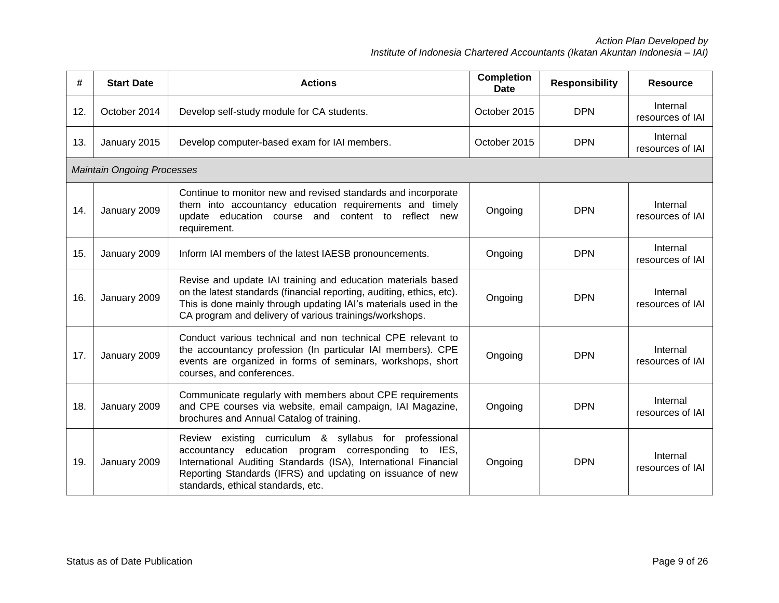| #   | <b>Start Date</b>                 | <b>Actions</b>                                                                                                                                                                                                                                                                       | <b>Completion</b><br><b>Date</b> | <b>Responsibility</b> | <b>Resource</b>              |
|-----|-----------------------------------|--------------------------------------------------------------------------------------------------------------------------------------------------------------------------------------------------------------------------------------------------------------------------------------|----------------------------------|-----------------------|------------------------------|
| 12. | October 2014                      | Develop self-study module for CA students.                                                                                                                                                                                                                                           | October 2015                     | <b>DPN</b>            | Internal<br>resources of IAI |
| 13. | January 2015                      | Develop computer-based exam for IAI members.                                                                                                                                                                                                                                         | October 2015                     | <b>DPN</b>            | Internal<br>resources of IAI |
|     | <b>Maintain Ongoing Processes</b> |                                                                                                                                                                                                                                                                                      |                                  |                       |                              |
| 14. | January 2009                      | Continue to monitor new and revised standards and incorporate<br>them into accountancy education requirements and timely<br>update education course and content to reflect new<br>requirement.                                                                                       | Ongoing                          | <b>DPN</b>            | Internal<br>resources of IAI |
| 15. | January 2009                      | Inform IAI members of the latest IAESB pronouncements.                                                                                                                                                                                                                               | Ongoing                          | <b>DPN</b>            | Internal<br>resources of IAI |
| 16. | January 2009                      | Revise and update IAI training and education materials based<br>on the latest standards (financial reporting, auditing, ethics, etc).<br>This is done mainly through updating IAI's materials used in the<br>CA program and delivery of various trainings/workshops.                 | Ongoing                          | <b>DPN</b>            | Internal<br>resources of IAI |
| 17. | January 2009                      | Conduct various technical and non technical CPE relevant to<br>the accountancy profession (In particular IAI members). CPE<br>events are organized in forms of seminars, workshops, short<br>courses, and conferences.                                                               | Ongoing                          | <b>DPN</b>            | Internal<br>resources of IAI |
| 18. | January 2009                      | Communicate regularly with members about CPE requirements<br>and CPE courses via website, email campaign, IAI Magazine,<br>brochures and Annual Catalog of training.                                                                                                                 | Ongoing                          | <b>DPN</b>            | Internal<br>resources of IAI |
| 19. | January 2009                      | Review existing curriculum & syllabus for professional<br>accountancy education program corresponding to IES,<br>International Auditing Standards (ISA), International Financial<br>Reporting Standards (IFRS) and updating on issuance of new<br>standards, ethical standards, etc. | Ongoing                          | <b>DPN</b>            | Internal<br>resources of IAI |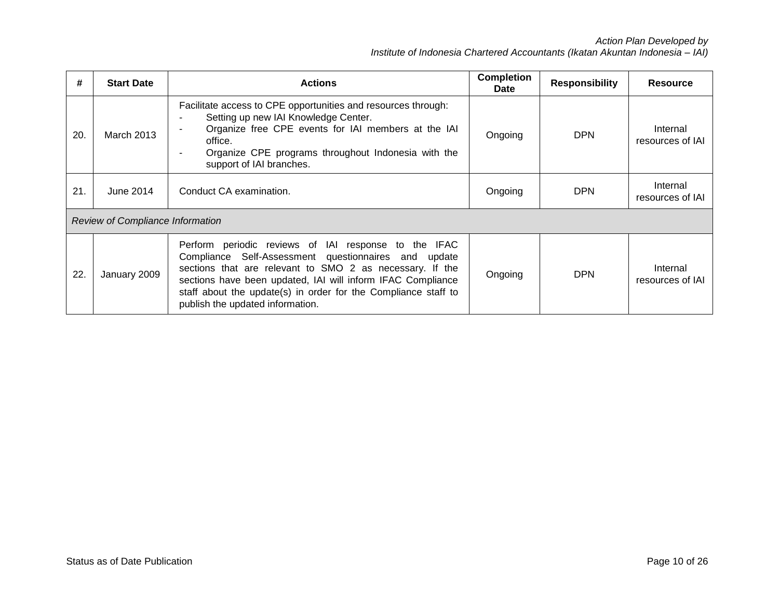| #   | <b>Start Date</b>                       | <b>Actions</b>                                                                                                                                                                                                                                                                                                                                | <b>Completion</b><br>Date | <b>Responsibility</b> | <b>Resource</b>              |
|-----|-----------------------------------------|-----------------------------------------------------------------------------------------------------------------------------------------------------------------------------------------------------------------------------------------------------------------------------------------------------------------------------------------------|---------------------------|-----------------------|------------------------------|
| 20. | <b>March 2013</b>                       | Facilitate access to CPE opportunities and resources through:<br>Setting up new IAI Knowledge Center.<br>Organize free CPE events for IAI members at the IAI<br>office.<br>Organize CPE programs throughout Indonesia with the<br>٠<br>support of IAI branches.                                                                               | Ongoing                   | <b>DPN</b>            | Internal<br>resources of IAI |
| 21. | June 2014                               | Conduct CA examination.                                                                                                                                                                                                                                                                                                                       | Ongoing                   | <b>DPN</b>            | Internal<br>resources of IAI |
|     | <b>Review of Compliance Information</b> |                                                                                                                                                                                                                                                                                                                                               |                           |                       |                              |
| 22. | January 2009                            | Perform periodic reviews of IAI response to the IFAC<br>Compliance Self-Assessment questionnaires and update<br>sections that are relevant to SMO 2 as necessary. If the<br>sections have been updated, IAI will inform IFAC Compliance<br>staff about the update(s) in order for the Compliance staff to<br>publish the updated information. | Ongoing                   | <b>DPN</b>            | Internal<br>resources of IAI |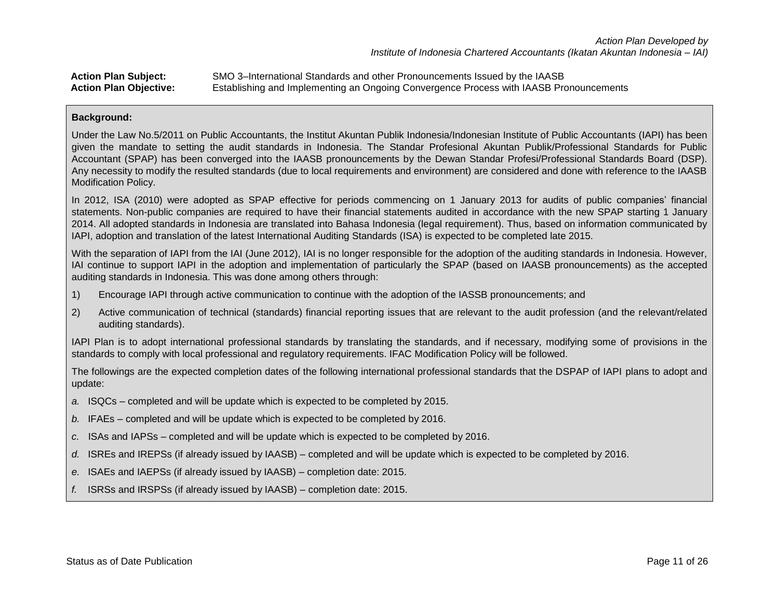# **Action Plan Subject:** SMO 3–International Standards and other Pronouncements Issued by the IAASB **Action Plan Objective:** Establishing and Implementing an Ongoing Convergence Process with IAASB Pronouncements

### **Background:**

Under the Law No.5/2011 on Public Accountants, the Institut Akuntan Publik Indonesia/Indonesian Institute of Public Accountants (IAPI) has been given the mandate to setting the audit standards in Indonesia. The Standar Profesional Akuntan Publik/Professional Standards for Public Accountant (SPAP) has been converged into the IAASB pronouncements by the Dewan Standar Profesi/Professional Standards Board (DSP). Any necessity to modify the resulted standards (due to local requirements and environment) are considered and done with reference to the IAASB Modification Policy.

In 2012, ISA (2010) were adopted as SPAP effective for periods commencing on 1 January 2013 for audits of public companies' financial statements. Non-public companies are required to have their financial statements audited in accordance with the new SPAP starting 1 January 2014. All adopted standards in Indonesia are translated into Bahasa Indonesia (legal requirement). Thus, based on information communicated by IAPI, adoption and translation of the latest International Auditing Standards (ISA) is expected to be completed late 2015.

With the separation of IAPI from the IAI (June 2012), IAI is no longer responsible for the adoption of the auditing standards in Indonesia. However, IAI continue to support IAPI in the adoption and implementation of particularly the SPAP (based on IAASB pronouncements) as the accepted auditing standards in Indonesia. This was done among others through:

- 1) Encourage IAPI through active communication to continue with the adoption of the IASSB pronouncements; and
- 2) Active communication of technical (standards) financial reporting issues that are relevant to the audit profession (and the relevant/related auditing standards).

IAPI Plan is to adopt international professional standards by translating the standards, and if necessary, modifying some of provisions in the standards to comply with local professional and regulatory requirements. IFAC Modification Policy will be followed.

The followings are the expected completion dates of the following international professional standards that the DSPAP of IAPI plans to adopt and update:

- *a.* ISQCs completed and will be update which is expected to be completed by 2015.
- *b.* IFAEs completed and will be update which is expected to be completed by 2016.
- *c.* ISAs and IAPSs completed and will be update which is expected to be completed by 2016.
- *d.* ISREs and IREPSs (if already issued by IAASB) completed and will be update which is expected to be completed by 2016.
- *e.* ISAEs and IAEPSs (if already issued by IAASB) completion date: 2015.
- *f.* ISRSs and IRSPSs (if already issued by IAASB) completion date: 2015.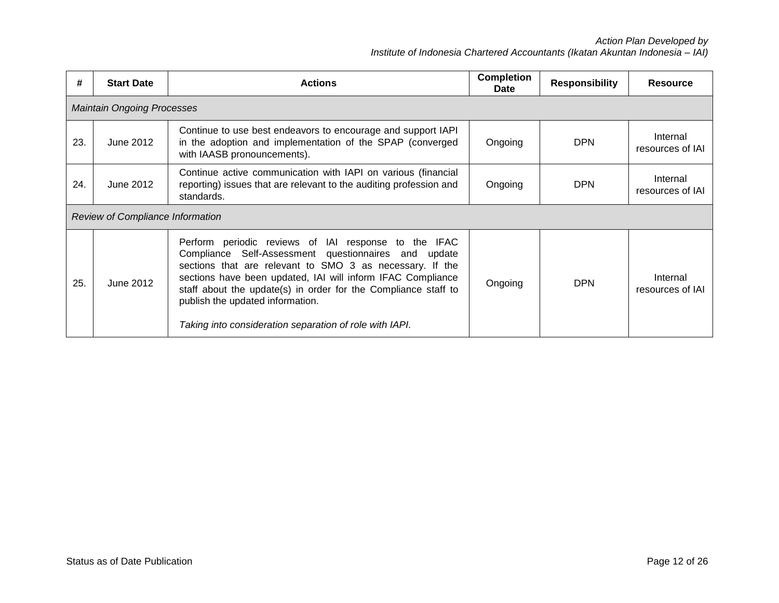| #   | <b>Start Date</b>                       | <b>Actions</b>                                                                                                                                                                                                                                                                                                                                                                                           | <b>Completion</b><br>Date | <b>Responsibility</b> | <b>Resource</b>              |  |  |
|-----|-----------------------------------------|----------------------------------------------------------------------------------------------------------------------------------------------------------------------------------------------------------------------------------------------------------------------------------------------------------------------------------------------------------------------------------------------------------|---------------------------|-----------------------|------------------------------|--|--|
|     | <b>Maintain Ongoing Processes</b>       |                                                                                                                                                                                                                                                                                                                                                                                                          |                           |                       |                              |  |  |
| 23. | June 2012                               | Continue to use best endeavors to encourage and support IAPI<br>in the adoption and implementation of the SPAP (converged<br>with IAASB pronouncements).                                                                                                                                                                                                                                                 | Ongoing                   | <b>DPN</b>            | Internal<br>resources of IAI |  |  |
| 24. | June 2012                               | Continue active communication with IAPI on various (financial<br>reporting) issues that are relevant to the auditing profession and<br>standards.                                                                                                                                                                                                                                                        | Ongoing                   | <b>DPN</b>            | Internal<br>resources of IAI |  |  |
|     | <b>Review of Compliance Information</b> |                                                                                                                                                                                                                                                                                                                                                                                                          |                           |                       |                              |  |  |
| 25. | June 2012                               | Perform periodic reviews of IAI response to the IFAC<br>Compliance Self-Assessment questionnaires and update<br>sections that are relevant to SMO 3 as necessary. If the<br>sections have been updated, IAI will inform IFAC Compliance<br>staff about the update(s) in order for the Compliance staff to<br>publish the updated information.<br>Taking into consideration separation of role with IAPI. | Ongoing                   | <b>DPN</b>            | Internal<br>resources of IAI |  |  |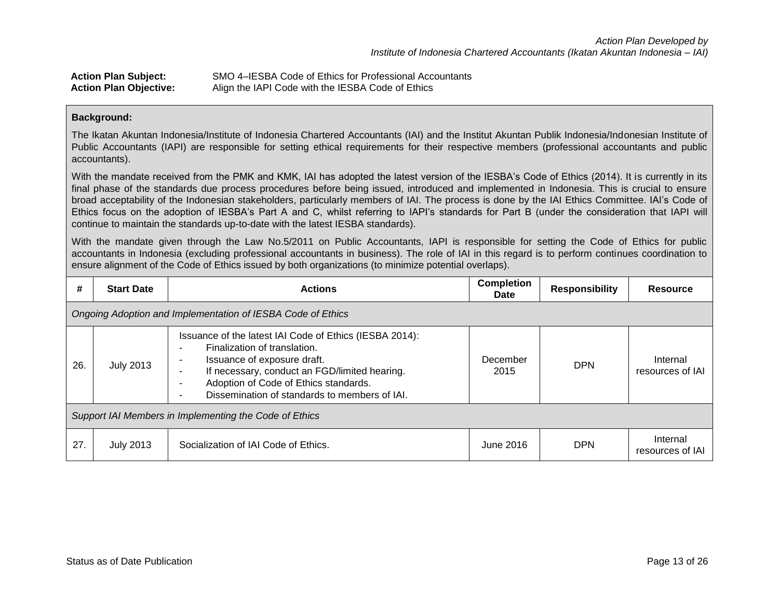| <b>Action Plan Subject:</b>   | SMO 4–IESBA Code of Ethics for Professional Accountants |
|-------------------------------|---------------------------------------------------------|
| <b>Action Plan Objective:</b> | Align the IAPI Code with the IESBA Code of Ethics       |

### **Background:**

The Ikatan Akuntan Indonesia/Institute of Indonesia Chartered Accountants (IAI) and the Institut Akuntan Publik Indonesia/Indonesian Institute of Public Accountants (IAPI) are responsible for setting ethical requirements for their respective members (professional accountants and public accountants).

With the mandate received from the PMK and KMK, IAI has adopted the latest version of the IESBA's Code of Ethics (2014). It is currently in its final phase of the standards due process procedures before being issued, introduced and implemented in Indonesia. This is crucial to ensure broad acceptability of the Indonesian stakeholders, particularly members of IAI. The process is done by the IAI Ethics Committee. IAI's Code of Ethics focus on the adoption of IESBA's Part A and C, whilst referring to IAPI's standards for Part B (under the consideration that IAPI will continue to maintain the standards up-to-date with the latest IESBA standards).

With the mandate given through the Law No.5/2011 on Public Accountants, IAPI is responsible for setting the Code of Ethics for public accountants in Indonesia (excluding professional accountants in business). The role of IAI in this regard is to perform continues coordination to ensure alignment of the Code of Ethics issued by both organizations (to minimize potential overlaps).

| #   | <b>Start Date</b>                                           | <b>Actions</b>                                                                                                                                                                                                                                                                                                                                      | <b>Completion</b><br>Date | <b>Responsibility</b> | <b>Resource</b>              |  |
|-----|-------------------------------------------------------------|-----------------------------------------------------------------------------------------------------------------------------------------------------------------------------------------------------------------------------------------------------------------------------------------------------------------------------------------------------|---------------------------|-----------------------|------------------------------|--|
|     | Ongoing Adoption and Implementation of IESBA Code of Ethics |                                                                                                                                                                                                                                                                                                                                                     |                           |                       |                              |  |
| 26. | <b>July 2013</b>                                            | Issuance of the latest IAI Code of Ethics (IESBA 2014):<br>Finalization of translation.<br>Issuance of exposure draft.<br>$\overline{\phantom{a}}$<br>If necessary, conduct an FGD/limited hearing.<br>$\blacksquare$<br>Adoption of Code of Ethics standards.<br>$\blacksquare$<br>Dissemination of standards to members of IAI.<br>$\blacksquare$ | December<br>2015          | <b>DPN</b>            | Internal<br>resources of IAI |  |
|     | Support IAI Members in Implementing the Code of Ethics      |                                                                                                                                                                                                                                                                                                                                                     |                           |                       |                              |  |
| 27. | <b>July 2013</b>                                            | Socialization of IAI Code of Ethics.                                                                                                                                                                                                                                                                                                                | June 2016                 | <b>DPN</b>            | Internal<br>resources of IAI |  |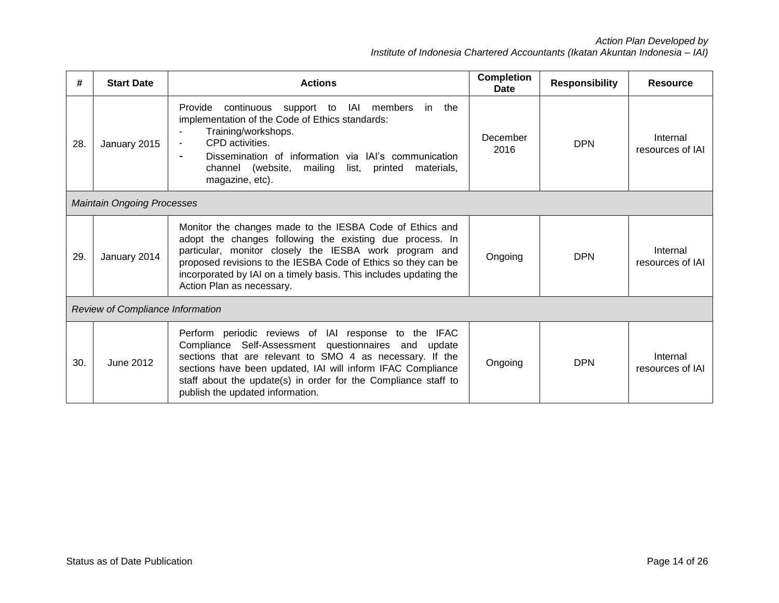| #   | <b>Start Date</b>                       | <b>Actions</b>                                                                                                                                                                                                                                                                                                                                    | <b>Completion</b><br><b>Date</b> | <b>Responsibility</b> | <b>Resource</b>              |  |
|-----|-----------------------------------------|---------------------------------------------------------------------------------------------------------------------------------------------------------------------------------------------------------------------------------------------------------------------------------------------------------------------------------------------------|----------------------------------|-----------------------|------------------------------|--|
| 28. | January 2015                            | IAI members<br>Provide<br>continuous<br>support to<br>in the<br>implementation of the Code of Ethics standards:<br>Training/workshops.<br>CPD activities.<br>$\blacksquare$<br>Dissemination of information via IAI's communication<br>$\blacksquare$<br>channel (website,<br>mailing<br>list.<br>printed<br>materials,<br>magazine, etc).        | December<br>2016                 | <b>DPN</b>            | Internal<br>resources of IAI |  |
|     | <b>Maintain Ongoing Processes</b>       |                                                                                                                                                                                                                                                                                                                                                   |                                  |                       |                              |  |
| 29. | January 2014                            | Monitor the changes made to the IESBA Code of Ethics and<br>adopt the changes following the existing due process. In<br>particular, monitor closely the IESBA work program and<br>proposed revisions to the IESBA Code of Ethics so they can be<br>incorporated by IAI on a timely basis. This includes updating the<br>Action Plan as necessary. | Ongoing                          | <b>DPN</b>            | Internal<br>resources of IAI |  |
|     | <b>Review of Compliance Information</b> |                                                                                                                                                                                                                                                                                                                                                   |                                  |                       |                              |  |
| 30. | June 2012                               | Perform periodic reviews of IAI response to the IFAC<br>Compliance Self-Assessment questionnaires and update<br>sections that are relevant to SMO 4 as necessary. If the<br>sections have been updated, IAI will inform IFAC Compliance<br>staff about the update(s) in order for the Compliance staff to<br>publish the updated information.     | Ongoing                          | <b>DPN</b>            | Internal<br>resources of IAI |  |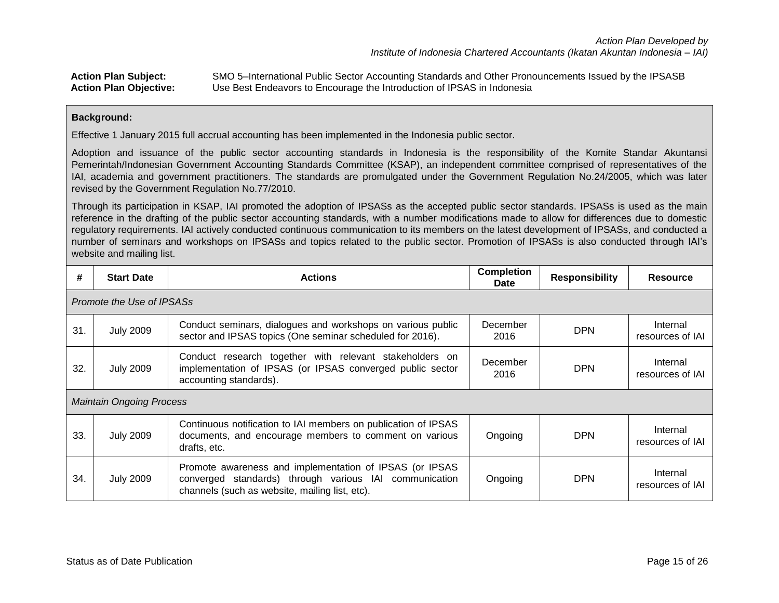**Action Plan Subject:** SMO 5–International Public Sector Accounting Standards and Other Pronouncements Issued by the IPSASB **Action Plan Objective:** Use Best Endeavors to Encourage the Introduction of IPSAS in Indonesia

### **Background:**

Effective 1 January 2015 full accrual accounting has been implemented in the Indonesia public sector.

Adoption and issuance of the public sector accounting standards in Indonesia is the responsibility of the Komite Standar Akuntansi Pemerintah/Indonesian Government Accounting Standards Committee (KSAP), an independent committee comprised of representatives of the IAI, academia and government practitioners. The standards are promulgated under the Government Regulation No.24/2005, which was later revised by the Government Regulation No.77/2010.

Through its participation in KSAP, IAI promoted the adoption of IPSASs as the accepted public sector standards. IPSASs is used as the main reference in the drafting of the public sector accounting standards, with a number modifications made to allow for differences due to domestic regulatory requirements. IAI actively conducted continuous communication to its members on the latest development of IPSASs, and conducted a number of seminars and workshops on IPSASs and topics related to the public sector. Promotion of IPSASs is also conducted through IAI's website and mailing list.

| #   | <b>Start Date</b>               | <b>Actions</b>                                                                                                                                                      | <b>Completion</b><br>Date | <b>Responsibility</b> | <b>Resource</b>              |  |  |  |  |
|-----|---------------------------------|---------------------------------------------------------------------------------------------------------------------------------------------------------------------|---------------------------|-----------------------|------------------------------|--|--|--|--|
|     | Promote the Use of IPSASs       |                                                                                                                                                                     |                           |                       |                              |  |  |  |  |
| 31. | <b>July 2009</b>                | Conduct seminars, dialogues and workshops on various public<br>sector and IPSAS topics (One seminar scheduled for 2016).                                            | December<br>2016          | <b>DPN</b>            | Internal<br>resources of IAI |  |  |  |  |
| 32. | <b>July 2009</b>                | Conduct research together with relevant stakeholders on<br>implementation of IPSAS (or IPSAS converged public sector<br>accounting standards).                      | December<br>2016          | <b>DPN</b>            | Internal<br>resources of IAI |  |  |  |  |
|     | <b>Maintain Ongoing Process</b> |                                                                                                                                                                     |                           |                       |                              |  |  |  |  |
| 33. | <b>July 2009</b>                | Continuous notification to IAI members on publication of IPSAS<br>documents, and encourage members to comment on various<br>drafts, etc.                            | Ongoing                   | <b>DPN</b>            | Internal<br>resources of IAI |  |  |  |  |
| 34. | <b>July 2009</b>                | Promote awareness and implementation of IPSAS (or IPSAS<br>converged standards) through various IAI communication<br>channels (such as website, mailing list, etc). | Ongoing                   | <b>DPN</b>            | Internal<br>resources of IAI |  |  |  |  |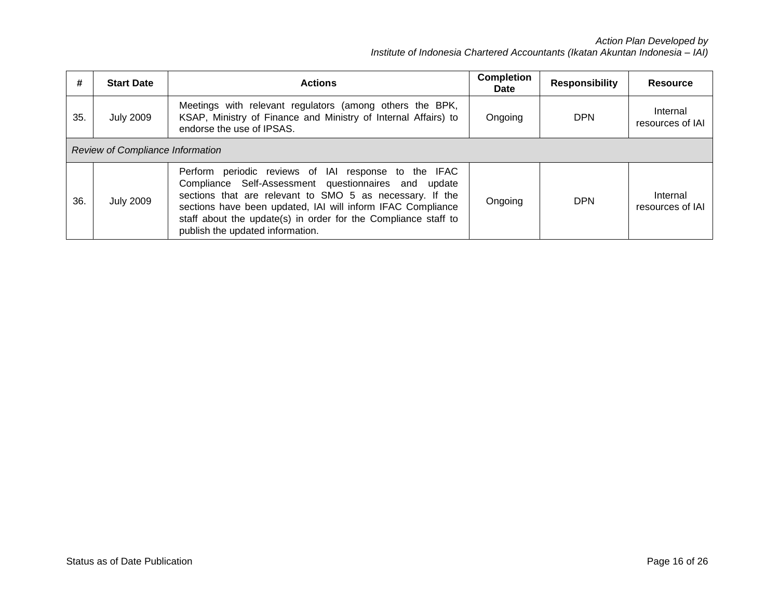| #   | <b>Start Date</b>                       | <b>Actions</b>                                                                                                                                                                                                                                                                                                                                | <b>Completion</b><br>Date | <b>Responsibility</b> | Resource                     |  |  |  |
|-----|-----------------------------------------|-----------------------------------------------------------------------------------------------------------------------------------------------------------------------------------------------------------------------------------------------------------------------------------------------------------------------------------------------|---------------------------|-----------------------|------------------------------|--|--|--|
| 35. | <b>July 2009</b>                        | Meetings with relevant regulators (among others the BPK,<br>KSAP, Ministry of Finance and Ministry of Internal Affairs) to<br>endorse the use of IPSAS.                                                                                                                                                                                       | Ongoing                   | <b>DPN</b>            | Internal<br>resources of IAI |  |  |  |
|     | <b>Review of Compliance Information</b> |                                                                                                                                                                                                                                                                                                                                               |                           |                       |                              |  |  |  |
| 36. | <b>July 2009</b>                        | Perform periodic reviews of IAI response to the IFAC<br>Compliance Self-Assessment questionnaires and update<br>sections that are relevant to SMO 5 as necessary. If the<br>sections have been updated, IAI will inform IFAC Compliance<br>staff about the update(s) in order for the Compliance staff to<br>publish the updated information. | Ongoing                   | <b>DPN</b>            | Internal<br>resources of IAI |  |  |  |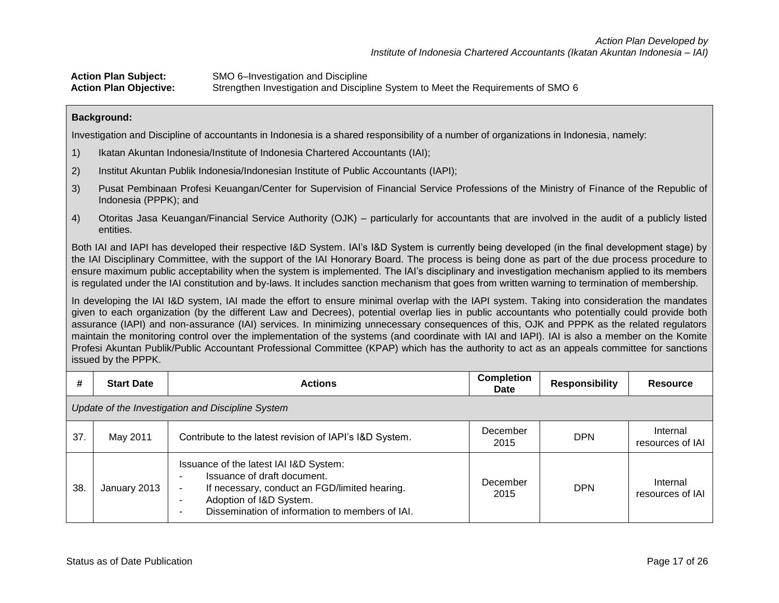**Action Plan Subject:** SMO 6–Investigation and Discipline **Action Plan Objective:** Strengthen Investigation and Discipline System to Meet the Requirements of SMO 6

### **Background:**

Investigation and Discipline of accountants in Indonesia is a shared responsibility of a number of organizations in Indonesia, namely:

- 1) Ikatan Akuntan Indonesia/Institute of Indonesia Chartered Accountants (IAI);
- 2) Institut Akuntan Publik Indonesia/Indonesian Institute of Public Accountants (IAPI);
- 3) Pusat Pembinaan Profesi Keuangan/Center for Supervision of Financial Service Professions of the Ministry of Finance of the Republic of Indonesia (PPPK); and
- 4) Otoritas Jasa Keuangan/Financial Service Authority (OJK) particularly for accountants that are involved in the audit of a publicly listed entities.

Both IAI and IAPI has developed their respective I&D System. IAI's I&D System is currently being developed (in the final development stage) by the IAI Disciplinary Committee, with the support of the IAI Honorary Board. The process is being done as part of the due process procedure to ensure maximum public acceptability when the system is implemented. The IAI's disciplinary and investigation mechanism applied to its members is regulated under the IAI constitution and by-laws. It includes sanction mechanism that goes from written warning to termination of membership.

In developing the IAI I&D system, IAI made the effort to ensure minimal overlap with the IAPI system. Taking into consideration the mandates given to each organization (by the different Law and Decrees), potential overlap lies in public accountants who potentially could provide both assurance (IAPI) and non-assurance (IAI) services. In minimizing unnecessary consequences of this, OJK and PPPK as the related regulators maintain the monitoring control over the implementation of the systems (and coordinate with IAI and IAPI). IAI is also a member on the Komite Profesi Akuntan Publik/Public Accountant Professional Committee (KPAP) which has the authority to act as an appeals committee for sanctions issued by the PPPK.

| #   | <b>Start Date</b>                                 | <b>Actions</b>                                                                                                                                                                                                 | <b>Completion</b><br>Date | <b>Responsibility</b> | Resource                     |  |  |  |  |
|-----|---------------------------------------------------|----------------------------------------------------------------------------------------------------------------------------------------------------------------------------------------------------------------|---------------------------|-----------------------|------------------------------|--|--|--|--|
|     | Update of the Investigation and Discipline System |                                                                                                                                                                                                                |                           |                       |                              |  |  |  |  |
| 37. | May 2011                                          | Contribute to the latest revision of IAPI's I&D System.                                                                                                                                                        | December<br>2015          | <b>DPN</b>            | Internal<br>resources of IAI |  |  |  |  |
| 38. | January 2013                                      | Issuance of the latest IAI I&D System:<br>Issuance of draft document.<br>If necessary, conduct an FGD/limited hearing.<br>Adoption of I&D System.<br>-<br>Dissemination of information to members of IAI.<br>- | December<br>2015          | <b>DPN</b>            | Internal<br>resources of IAI |  |  |  |  |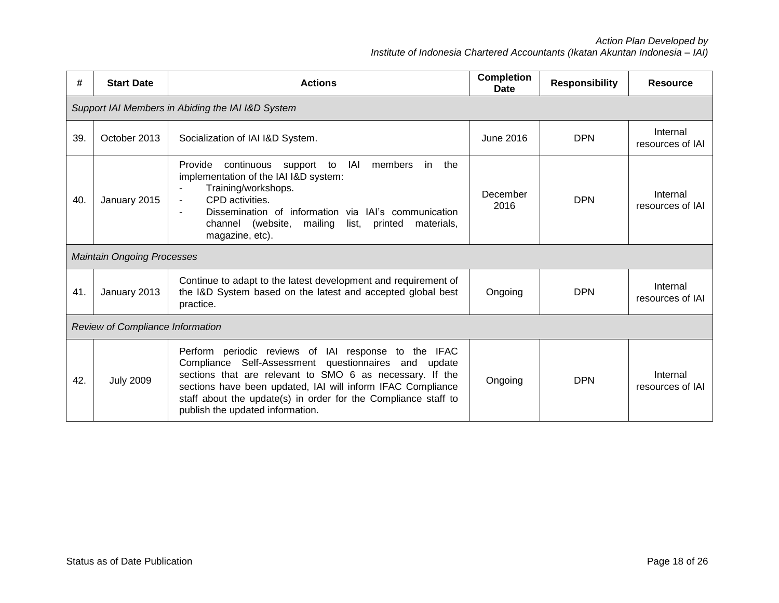| #   | <b>Start Date</b>                                 | <b>Actions</b>                                                                                                                                                                                                                                                                                                                                          | <b>Completion</b><br><b>Date</b> | <b>Responsibility</b> | <b>Resource</b>              |  |  |  |  |
|-----|---------------------------------------------------|---------------------------------------------------------------------------------------------------------------------------------------------------------------------------------------------------------------------------------------------------------------------------------------------------------------------------------------------------------|----------------------------------|-----------------------|------------------------------|--|--|--|--|
|     | Support IAI Members in Abiding the IAI I&D System |                                                                                                                                                                                                                                                                                                                                                         |                                  |                       |                              |  |  |  |  |
| 39. | October 2013                                      | Socialization of IAI I&D System.                                                                                                                                                                                                                                                                                                                        | <b>June 2016</b>                 | <b>DPN</b>            | Internal<br>resources of IAI |  |  |  |  |
| 40. | January 2015                                      | IAI<br>Provide<br>continuous<br>support to<br>members<br>the<br>in.<br>implementation of the IAI I&D system:<br>Training/workshops.<br>CPD activities.<br>$\blacksquare$<br>Dissemination of information via IAI's communication<br>$\blacksquare$<br>channel (website,<br>mailing<br>printed<br>materials,<br>list.<br>magazine, etc).                 | December<br>2016                 | <b>DPN</b>            | Internal<br>resources of IAI |  |  |  |  |
|     | <b>Maintain Ongoing Processes</b>                 |                                                                                                                                                                                                                                                                                                                                                         |                                  |                       |                              |  |  |  |  |
| 41. | January 2013                                      | Continue to adapt to the latest development and requirement of<br>the I&D System based on the latest and accepted global best<br>practice.                                                                                                                                                                                                              | Ongoing                          | <b>DPN</b>            | Internal<br>resources of IAI |  |  |  |  |
|     | <b>Review of Compliance Information</b>           |                                                                                                                                                                                                                                                                                                                                                         |                                  |                       |                              |  |  |  |  |
| 42. | <b>July 2009</b>                                  | Perform periodic reviews of IAI response to the<br><b>IFAC</b><br>Compliance Self-Assessment questionnaires and update<br>sections that are relevant to SMO 6 as necessary. If the<br>sections have been updated, IAI will inform IFAC Compliance<br>staff about the update(s) in order for the Compliance staff to<br>publish the updated information. | Ongoing                          | <b>DPN</b>            | Internal<br>resources of IAI |  |  |  |  |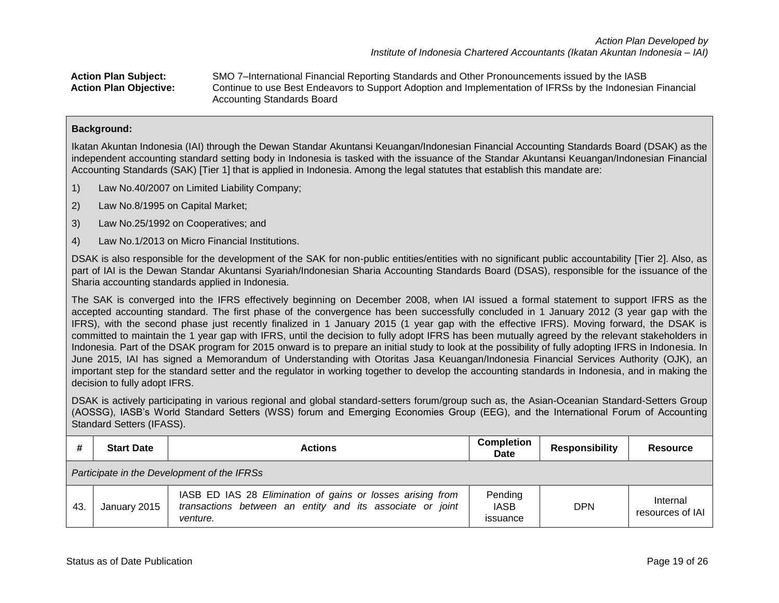**Action Plan Subject:** SMO 7–International Financial Reporting Standards and Other Pronouncements issued by the IASB **Action Plan Objective:** Continue to use Best Endeavors to Support Adoption and Implementation of IFRSs by the Indonesian Financial Accounting Standards Board

### **Background:**

Ikatan Akuntan Indonesia (IAI) through the Dewan Standar Akuntansi Keuangan/Indonesian Financial Accounting Standards Board (DSAK) as the independent accounting standard setting body in Indonesia is tasked with the issuance of the Standar Akuntansi Keuangan/Indonesian Financial Accounting Standards (SAK) [Tier 1] that is applied in Indonesia. Among the legal statutes that establish this mandate are:

- 1) Law No.40/2007 on Limited Liability Company;
- 2) Law No.8/1995 on Capital Market;
- 3) Law No.25/1992 on Cooperatives; and
- 4) Law No.1/2013 on Micro Financial Institutions.

DSAK is also responsible for the development of the SAK for non-public entities/entities with no significant public accountability [Tier 2]. Also, as part of IAI is the Dewan Standar Akuntansi Syariah/Indonesian Sharia Accounting Standards Board (DSAS), responsible for the issuance of the Sharia accounting standards applied in Indonesia.

The SAK is converged into the IFRS effectively beginning on December 2008, when IAI issued a formal statement to support IFRS as the accepted accounting standard. The first phase of the convergence has been successfully concluded in 1 January 2012 (3 year gap with the IFRS), with the second phase just recently finalized in 1 January 2015 (1 year gap with the effective IFRS). Moving forward, the DSAK is committed to maintain the 1 year gap with IFRS, until the decision to fully adopt IFRS has been mutually agreed by the relevant stakeholders in Indonesia. Part of the DSAK program for 2015 onward is to prepare an initial study to look at the possibility of fully adopting IFRS in Indonesia. In June 2015, IAI has signed a Memorandum of Understanding with Otoritas Jasa Keuangan/Indonesia Financial Services Authority (OJK), an important step for the standard setter and the regulator in working together to develop the accounting standards in Indonesia, and in making the decision to fully adopt IFRS.

DSAK is actively participating in various regional and global standard-setters forum/group such as, the Asian-Oceanian Standard-Setters Group (AOSSG), IASB's World Standard Setters (WSS) forum and Emerging Economies Group (EEG), and the International Forum of Accounting Standard Setters (IFASS).

|    | <b>Start Date</b>                           | <b>Actions</b>                                                                                                                      | <b>Completion</b><br><b>Date</b>   | <b>Responsibility</b> | <b>Resource</b>              |  |  |  |
|----|---------------------------------------------|-------------------------------------------------------------------------------------------------------------------------------------|------------------------------------|-----------------------|------------------------------|--|--|--|
|    | Participate in the Development of the IFRSs |                                                                                                                                     |                                    |                       |                              |  |  |  |
| 43 | January 2015                                | IASB ED IAS 28 Elimination of gains or losses arising from<br>transactions between an entity and its associate or joint<br>venture. | Pending<br><b>IASB</b><br>issuance | <b>DPN</b>            | Internal<br>resources of IAI |  |  |  |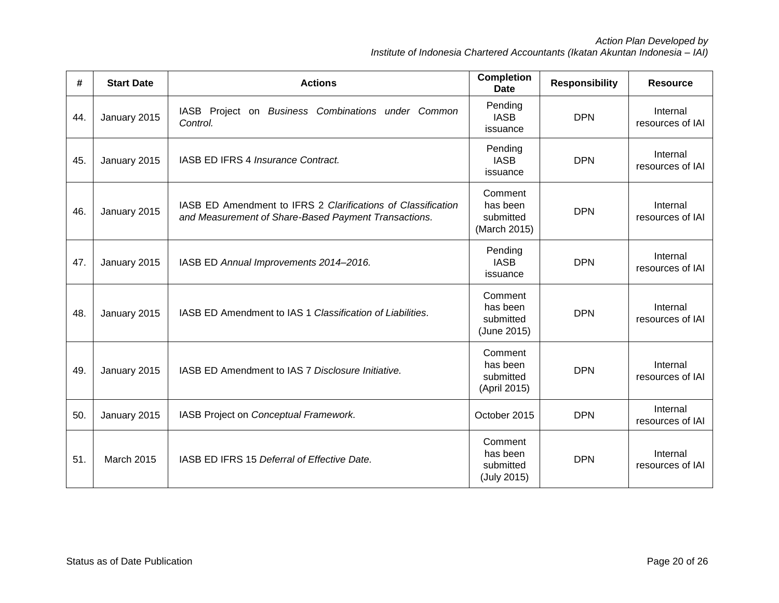| #   | <b>Start Date</b> | <b>Actions</b>                                                                                                       | <b>Completion</b><br><b>Date</b>                 | <b>Responsibility</b> | <b>Resource</b>              |
|-----|-------------------|----------------------------------------------------------------------------------------------------------------------|--------------------------------------------------|-----------------------|------------------------------|
| 44. | January 2015      | IASB Project on Business Combinations under Common<br>Control.                                                       | Pending<br><b>IASB</b><br>issuance               | <b>DPN</b>            | Internal<br>resources of IAI |
| 45. | January 2015      | IASB ED IFRS 4 Insurance Contract.                                                                                   | Pending<br><b>IASB</b><br>issuance               | <b>DPN</b>            | Internal<br>resources of IAI |
| 46. | January 2015      | IASB ED Amendment to IFRS 2 Clarifications of Classification<br>and Measurement of Share-Based Payment Transactions. | Comment<br>has been<br>submitted<br>(March 2015) | <b>DPN</b>            | Internal<br>resources of IAI |
| 47. | January 2015      | IASB ED Annual Improvements 2014-2016.                                                                               | Pending<br><b>IASB</b><br>issuance               | <b>DPN</b>            | Internal<br>resources of IAI |
| 48. | January 2015      | IASB ED Amendment to IAS 1 Classification of Liabilities.                                                            | Comment<br>has been<br>submitted<br>(June 2015)  | <b>DPN</b>            | Internal<br>resources of IAI |
| 49. | January 2015      | IASB ED Amendment to IAS 7 Disclosure Initiative.                                                                    | Comment<br>has been<br>submitted<br>(April 2015) | <b>DPN</b>            | Internal<br>resources of IAI |
| 50. | January 2015      | IASB Project on Conceptual Framework.                                                                                | October 2015                                     | <b>DPN</b>            | Internal<br>resources of IAI |
| 51. | March 2015        | IASB ED IFRS 15 Deferral of Effective Date.                                                                          | Comment<br>has been<br>submitted<br>(July 2015)  | <b>DPN</b>            | Internal<br>resources of IAI |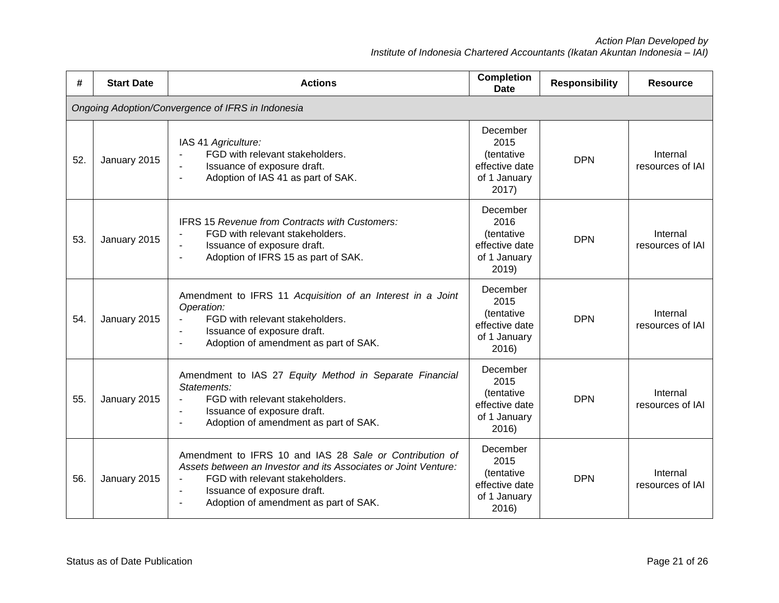| #   | <b>Start Date</b>                                 | <b>Actions</b>                                                                                                                                                                                                                        | <b>Completion</b><br><b>Date</b>                                                  | <b>Responsibility</b> | <b>Resource</b>              |  |  |  |  |
|-----|---------------------------------------------------|---------------------------------------------------------------------------------------------------------------------------------------------------------------------------------------------------------------------------------------|-----------------------------------------------------------------------------------|-----------------------|------------------------------|--|--|--|--|
|     | Ongoing Adoption/Convergence of IFRS in Indonesia |                                                                                                                                                                                                                                       |                                                                                   |                       |                              |  |  |  |  |
| 52. | January 2015                                      | IAS 41 Agriculture:<br>FGD with relevant stakeholders.<br>Issuance of exposure draft.<br>Adoption of IAS 41 as part of SAK.                                                                                                           | December<br>2015<br>(tentative<br>effective date<br>of 1 January<br>2017)         | <b>DPN</b>            | Internal<br>resources of IAI |  |  |  |  |
| 53. | January 2015                                      | <b>IFRS 15 Revenue from Contracts with Customers:</b><br>FGD with relevant stakeholders.<br>Issuance of exposure draft.<br>Adoption of IFRS 15 as part of SAK.                                                                        | December<br>2016<br>(tentative<br>effective date<br>of 1 January<br>2019)         | <b>DPN</b>            | Internal<br>resources of IAI |  |  |  |  |
| 54. | January 2015                                      | Amendment to IFRS 11 Acquisition of an Interest in a Joint<br>Operation:<br>FGD with relevant stakeholders.<br>Issuance of exposure draft.<br>Adoption of amendment as part of SAK.<br>$\blacksquare$                                 | December<br>2015<br><i>(tentative)</i><br>effective date<br>of 1 January<br>2016) | <b>DPN</b>            | Internal<br>resources of IAI |  |  |  |  |
| 55. | January 2015                                      | Amendment to IAS 27 Equity Method in Separate Financial<br>Statements:<br>FGD with relevant stakeholders.<br>$\blacksquare$<br>Issuance of exposure draft.<br>Adoption of amendment as part of SAK.                                   | December<br>2015<br>(tentative<br>effective date<br>of 1 January<br>2016)         | <b>DPN</b>            | Internal<br>resources of IAI |  |  |  |  |
| 56. | January 2015                                      | Amendment to IFRS 10 and IAS 28 Sale or Contribution of<br>Assets between an Investor and its Associates or Joint Venture:<br>FGD with relevant stakeholders.<br>Issuance of exposure draft.<br>Adoption of amendment as part of SAK. | December<br>2015<br>(tentative<br>effective date<br>of 1 January<br>2016)         | <b>DPN</b>            | Internal<br>resources of IAI |  |  |  |  |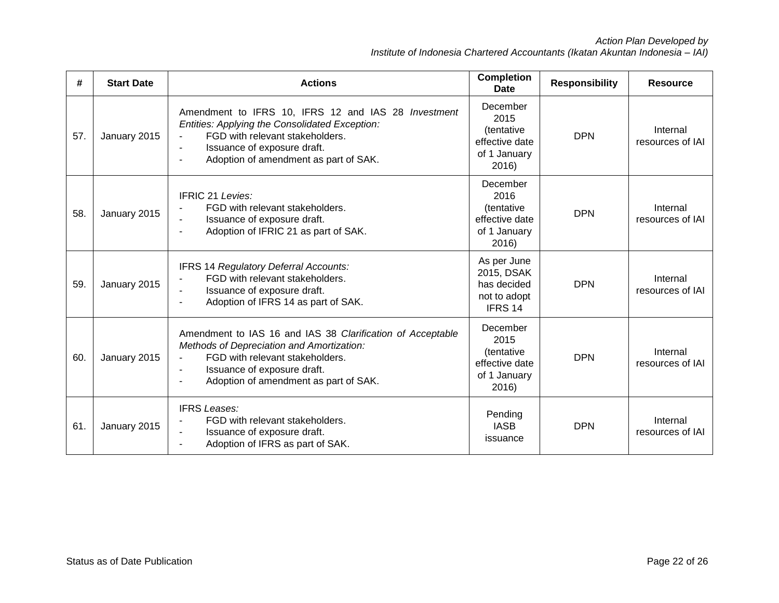| #   | <b>Start Date</b> | <b>Actions</b>                                                                                                                                                                                                                                         | <b>Completion</b><br>Date                                                 | <b>Responsibility</b> | <b>Resource</b>              |
|-----|-------------------|--------------------------------------------------------------------------------------------------------------------------------------------------------------------------------------------------------------------------------------------------------|---------------------------------------------------------------------------|-----------------------|------------------------------|
| 57. | January 2015      | Amendment to IFRS 10, IFRS 12 and IAS 28 Investment<br>Entities: Applying the Consolidated Exception:<br>FGD with relevant stakeholders.<br>Issuance of exposure draft.<br>Adoption of amendment as part of SAK.                                       | December<br>2015<br>(tentative<br>effective date<br>of 1 January<br>2016) | <b>DPN</b>            | Internal<br>resources of IAI |
| 58. | January 2015      | <b>IFRIC 21 Levies:</b><br>FGD with relevant stakeholders.<br>Issuance of exposure draft.<br>Adoption of IFRIC 21 as part of SAK.<br>$\blacksquare$                                                                                                    | December<br>2016<br>(tentative<br>effective date<br>of 1 January<br>2016) | <b>DPN</b>            | Internal<br>resources of IAI |
| 59. | January 2015      | IFRS 14 Regulatory Deferral Accounts:<br>FGD with relevant stakeholders.<br>Issuance of exposure draft.<br>Adoption of IFRS 14 as part of SAK.                                                                                                         | As per June<br>2015, DSAK<br>has decided<br>not to adopt<br>IFRS 14       | <b>DPN</b>            | Internal<br>resources of IAI |
| 60. | January 2015      | Amendment to IAS 16 and IAS 38 Clarification of Acceptable<br>Methods of Depreciation and Amortization:<br>FGD with relevant stakeholders.<br>$\blacksquare$<br>Issuance of exposure draft.<br>$\blacksquare$<br>Adoption of amendment as part of SAK. | December<br>2015<br>(tentative<br>effective date<br>of 1 January<br>2016) | <b>DPN</b>            | Internal<br>resources of IAI |
| 61. | January 2015      | <b>IFRS Leases:</b><br>FGD with relevant stakeholders.<br>Issuance of exposure draft.<br>Adoption of IFRS as part of SAK.                                                                                                                              | Pending<br><b>IASB</b><br>issuance                                        | <b>DPN</b>            | Internal<br>resources of IAI |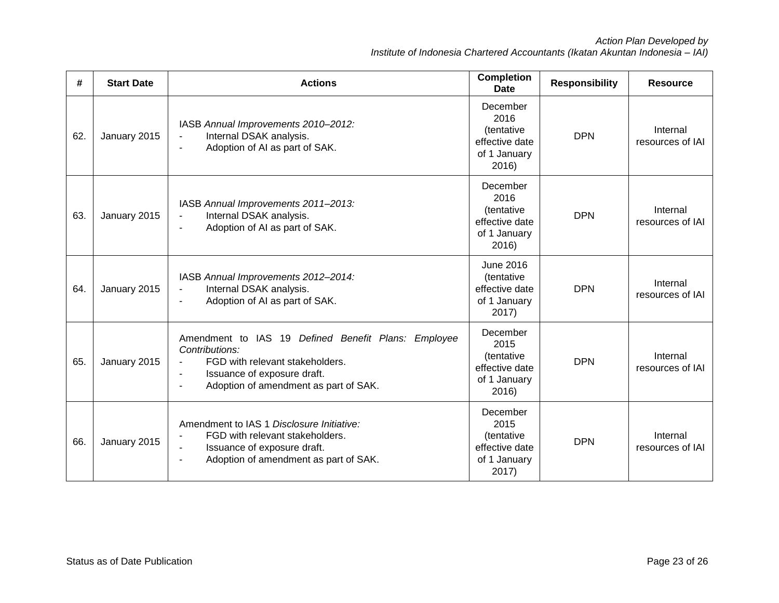*Action Plan Developed by Institute of Indonesia Chartered Accountants (Ikatan Akuntan Indonesia – IAI)*

| #   | <b>Start Date</b> | <b>Actions</b>                                                                                                                                                                                     | <b>Completion</b><br><b>Date</b>                                          | <b>Responsibility</b> | <b>Resource</b>              |
|-----|-------------------|----------------------------------------------------------------------------------------------------------------------------------------------------------------------------------------------------|---------------------------------------------------------------------------|-----------------------|------------------------------|
| 62. | January 2015      | IASB Annual Improvements 2010-2012:<br>Internal DSAK analysis.<br>Adoption of AI as part of SAK.                                                                                                   | December<br>2016<br>(tentative<br>effective date<br>of 1 January<br>2016) | <b>DPN</b>            | Internal<br>resources of IAI |
| 63. | January 2015      | IASB Annual Improvements 2011-2013:<br>Internal DSAK analysis.<br>$\blacksquare$<br>Adoption of AI as part of SAK.<br>$\overline{\phantom{a}}$                                                     | December<br>2016<br>(tentative<br>effective date<br>of 1 January<br>2016) | <b>DPN</b>            | Internal<br>resources of IAI |
| 64. | January 2015      | IASB Annual Improvements 2012-2014:<br>Internal DSAK analysis.<br>$\blacksquare$<br>Adoption of AI as part of SAK.                                                                                 | <b>June 2016</b><br>(tentative<br>effective date<br>of 1 January<br>2017) | <b>DPN</b>            | Internal<br>resources of IAI |
| 65. | January 2015      | Amendment to IAS 19 Defined Benefit Plans: Employee<br>Contributions:<br>FGD with relevant stakeholders.<br>Issuance of exposure draft.<br>Adoption of amendment as part of SAK.<br>$\blacksquare$ | December<br>2015<br>(tentative<br>effective date<br>of 1 January<br>2016) | <b>DPN</b>            | Internal<br>resources of IAI |
| 66. | January 2015      | Amendment to IAS 1 Disclosure Initiative:<br>FGD with relevant stakeholders.<br>Issuance of exposure draft.<br>$\blacksquare$<br>Adoption of amendment as part of SAK.                             | December<br>2015<br>(tentative<br>effective date<br>of 1 January<br>2017) | <b>DPN</b>            | Internal<br>resources of IAI |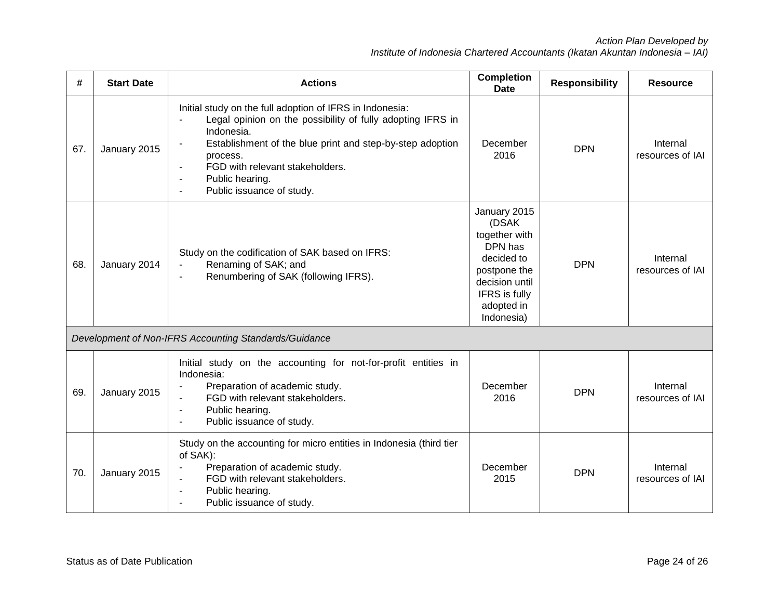| #   | <b>Start Date</b> | <b>Actions</b>                                                                                                                                                                                                                                                                                                                       | <b>Completion</b><br><b>Date</b>                                                                                                               | <b>Responsibility</b> | <b>Resource</b>              |
|-----|-------------------|--------------------------------------------------------------------------------------------------------------------------------------------------------------------------------------------------------------------------------------------------------------------------------------------------------------------------------------|------------------------------------------------------------------------------------------------------------------------------------------------|-----------------------|------------------------------|
| 67. | January 2015      | Initial study on the full adoption of IFRS in Indonesia:<br>Legal opinion on the possibility of fully adopting IFRS in<br>Indonesia.<br>Establishment of the blue print and step-by-step adoption<br>process.<br>FGD with relevant stakeholders.<br>$\blacksquare$<br>Public hearing.<br>$\blacksquare$<br>Public issuance of study. | December<br>2016                                                                                                                               | <b>DPN</b>            | Internal<br>resources of IAI |
| 68. | January 2014      | Study on the codification of SAK based on IFRS:<br>Renaming of SAK; and<br>Renumbering of SAK (following IFRS).                                                                                                                                                                                                                      | January 2015<br>(DSAK<br>together with<br>DPN has<br>decided to<br>postpone the<br>decision until<br>IFRS is fully<br>adopted in<br>Indonesia) | <b>DPN</b>            | Internal<br>resources of IAI |
|     |                   | Development of Non-IFRS Accounting Standards/Guidance                                                                                                                                                                                                                                                                                |                                                                                                                                                |                       |                              |
| 69. | January 2015      | Initial study on the accounting for not-for-profit entities in<br>Indonesia:<br>Preparation of academic study.<br>FGD with relevant stakeholders.<br>$\blacksquare$<br>Public hearing.<br>$\blacksquare$<br>Public issuance of study.                                                                                                | December<br>2016                                                                                                                               | <b>DPN</b>            | Internal<br>resources of IAI |
| 70. | January 2015      | Study on the accounting for micro entities in Indonesia (third tier<br>of SAK):<br>Preparation of academic study.<br>FGD with relevant stakeholders.<br>Public hearing.<br>Public issuance of study.                                                                                                                                 | December<br>2015                                                                                                                               | <b>DPN</b>            | Internal<br>resources of IAI |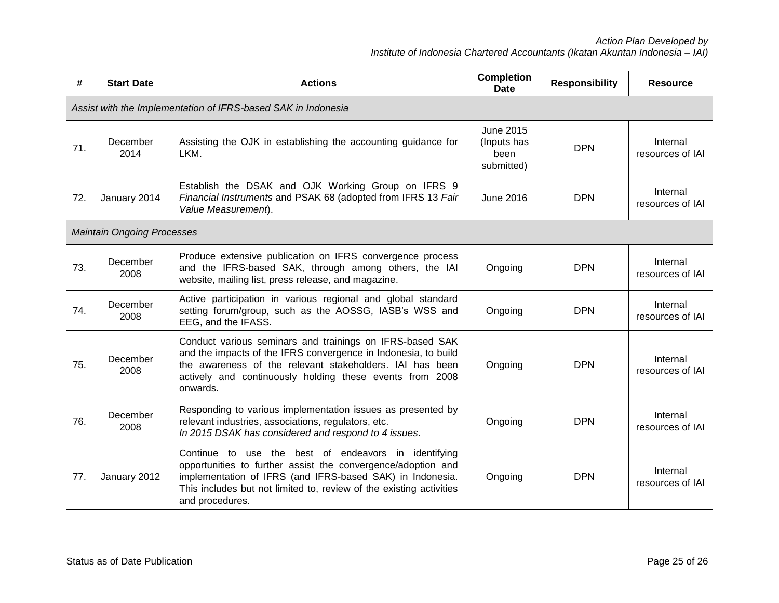| #   | <b>Start Date</b>                                             | <b>Actions</b>                                                                                                                                                                                                                                                              | <b>Completion</b><br><b>Date</b>                      | <b>Responsibility</b> | <b>Resource</b>              |  |  |  |  |
|-----|---------------------------------------------------------------|-----------------------------------------------------------------------------------------------------------------------------------------------------------------------------------------------------------------------------------------------------------------------------|-------------------------------------------------------|-----------------------|------------------------------|--|--|--|--|
|     | Assist with the Implementation of IFRS-based SAK in Indonesia |                                                                                                                                                                                                                                                                             |                                                       |                       |                              |  |  |  |  |
| 71. | December<br>2014                                              | Assisting the OJK in establishing the accounting guidance for<br>LKM.                                                                                                                                                                                                       | <b>June 2015</b><br>(Inputs has<br>been<br>submitted) | <b>DPN</b>            | Internal<br>resources of IAI |  |  |  |  |
| 72. | January 2014                                                  | Establish the DSAK and OJK Working Group on IFRS 9<br>Financial Instruments and PSAK 68 (adopted from IFRS 13 Fair<br>Value Measurement).                                                                                                                                   | <b>June 2016</b>                                      | <b>DPN</b>            | Internal<br>resources of IAI |  |  |  |  |
|     | <b>Maintain Ongoing Processes</b>                             |                                                                                                                                                                                                                                                                             |                                                       |                       |                              |  |  |  |  |
| 73. | December<br>2008                                              | Produce extensive publication on IFRS convergence process<br>and the IFRS-based SAK, through among others, the IAI<br>website, mailing list, press release, and magazine.                                                                                                   | Ongoing                                               | <b>DPN</b>            | Internal<br>resources of IAI |  |  |  |  |
| 74. | December<br>2008                                              | Active participation in various regional and global standard<br>setting forum/group, such as the AOSSG, IASB's WSS and<br>EEG, and the IFASS.                                                                                                                               | Ongoing                                               | <b>DPN</b>            | Internal<br>resources of IAI |  |  |  |  |
| 75. | December<br>2008                                              | Conduct various seminars and trainings on IFRS-based SAK<br>and the impacts of the IFRS convergence in Indonesia, to build<br>the awareness of the relevant stakeholders. IAI has been<br>actively and continuously holding these events from 2008<br>onwards.              | Ongoing                                               | <b>DPN</b>            | Internal<br>resources of IAI |  |  |  |  |
| 76. | December<br>2008                                              | Responding to various implementation issues as presented by<br>relevant industries, associations, regulators, etc.<br>In 2015 DSAK has considered and respond to 4 issues.                                                                                                  | Ongoing                                               | <b>DPN</b>            | Internal<br>resources of IAI |  |  |  |  |
| 77. | January 2012                                                  | Continue to use the best of endeavors in identifying<br>opportunities to further assist the convergence/adoption and<br>implementation of IFRS (and IFRS-based SAK) in Indonesia.<br>This includes but not limited to, review of the existing activities<br>and procedures. | Ongoing                                               | <b>DPN</b>            | Internal<br>resources of IAI |  |  |  |  |